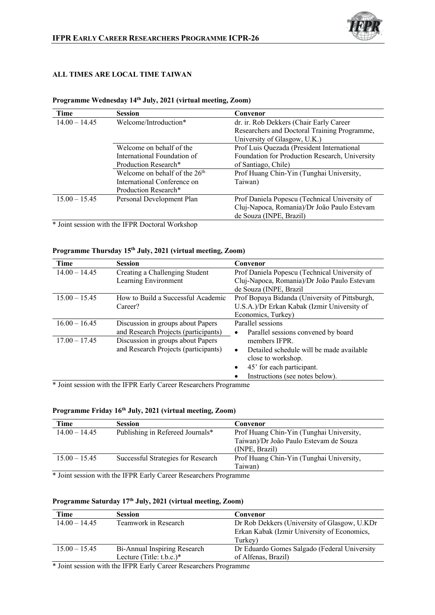

### **ALL TIMES ARE LOCAL TIME TAIWAN**

| Time            | <b>Session</b>                  | Convenor                                       |
|-----------------|---------------------------------|------------------------------------------------|
| $14.00 - 14.45$ | Welcome/Introduction*           | dr. ir. Rob Dekkers (Chair Early Career        |
|                 |                                 | Researchers and Doctoral Training Programme,   |
|                 |                                 | University of Glasgow, U.K.)                   |
|                 | Welcome on behalf of the        | Prof Luis Quezada (President International     |
|                 | International Foundation of     | Foundation for Production Research, University |
|                 | Production Research*            | of Santiago, Chile)                            |
|                 | Welcome on behalf of the $26th$ | Prof Huang Chin-Yin (Tunghai University,       |
|                 | International Conference on     | Taiwan)                                        |
|                 | Production Research*            |                                                |
| $15.00 - 15.45$ | Personal Development Plan       | Prof Daniela Popescu (Technical University of  |
|                 |                                 | Cluj-Napoca, Romania)/Dr João Paulo Estevam    |
|                 |                                 | de Souza (INPE, Brazil)                        |

### **Programme Wednesday 14th July, 2021 (virtual meeting, Zoom)**

\* Joint session with the IFPR Doctoral Workshop

# **Programme Thursday 15th July, 2021 (virtual meeting, Zoom)**

| Time            | <b>Session</b>                       | Convenor                                              |
|-----------------|--------------------------------------|-------------------------------------------------------|
| $14.00 - 14.45$ | Creating a Challenging Student       | Prof Daniela Popescu (Technical University of         |
|                 | Learning Environment                 | Cluj-Napoca, Romania)/Dr João Paulo Estevam           |
|                 |                                      | de Souza (INPE, Brazil                                |
| $15.00 - 15.45$ | How to Build a Successful Academic   | Prof Bopaya Bidanda (University of Pittsburgh,        |
|                 | Career?                              | U.S.A.)/Dr Erkan Kabak (Izmir University of           |
|                 |                                      | Economics, Turkey)                                    |
| $16.00 - 16.45$ | Discussion in groups about Papers    | Parallel sessions                                     |
|                 | and Research Projects (participants) | Parallel sessions convened by board<br>$\bullet$      |
| $17.00 - 17.45$ | Discussion in groups about Papers    | members IFPR.                                         |
|                 | and Research Projects (participants) | Detailed schedule will be made available<br>$\bullet$ |
|                 |                                      | close to workshop.                                    |
|                 |                                      | 45' for each participant.                             |
|                 |                                      | Instructions (see notes below).                       |

\* Joint session with the IFPR Early Career Researchers Programme

## **Programme Friday 16th July, 2021 (virtual meeting, Zoom)**

| Time            | <b>Session</b>                     | Convenor                                 |
|-----------------|------------------------------------|------------------------------------------|
| $14.00 - 14.45$ | Publishing in Refereed Journals*   | Prof Huang Chin-Yin (Tunghai University, |
|                 |                                    | Taiwan)/Dr João Paulo Estevam de Souza   |
|                 |                                    | (INPE, Brazil)                           |
| $15.00 - 15.45$ | Successful Strategies for Research | Prof Huang Chin-Yin (Tunghai University, |
|                 |                                    | Taiwan)                                  |

\* Joint session with the IFPR Early Career Researchers Programme

## **Programme Saturday 17th July, 2021 (virtual meeting, Zoom)**

| Time            | <b>Session</b>               | Convenor                                     |
|-----------------|------------------------------|----------------------------------------------|
| $14.00 - 14.45$ | Teamwork in Research         | Dr Rob Dekkers (University of Glasgow, U.KDr |
|                 |                              | Erkan Kabak (Izmir University of Economics,  |
|                 |                              | Turkey)                                      |
| $15.00 - 15.45$ | Bi-Annual Inspiring Research | Dr Eduardo Gomes Salgado (Federal University |
|                 | Lecture (Title: $t.b.c.$ )*  | of Alfenas, Brazil)                          |

\* Joint session with the IFPR Early Career Researchers Programme